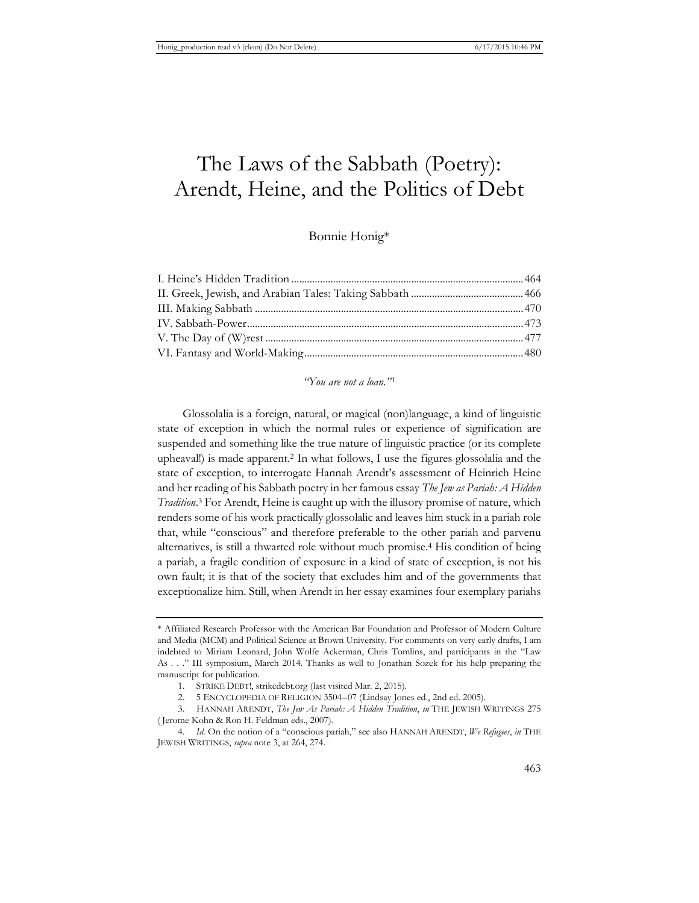# The Laws of the Sabbath (Poetry): Arendt, Heine, and the Politics of Debt

## Bonnie Honig\*

## *"You are not a loan."* <sup>1</sup>

Glossolalia is a foreign, natural, or magical (non)language, a kind of linguistic state of exception in which the normal rules or experience of signification are suspended and something like the true nature of linguistic practice (or its complete upheaval!) is made apparent.2 In what follows, I use the figures glossolalia and the state of exception, to interrogate Hannah Arendt's assessment of Heinrich Heine and her reading of his Sabbath poetry in her famous essay *The Jew as Pariah: A Hidden Tradition*. 3 For Arendt, Heine is caught up with the illusory promise of nature, which renders some of his work practically glossolalic and leaves him stuck in a pariah role that, while "conscious" and therefore preferable to the other pariah and parvenu alternatives, is still a thwarted role without much promise.4 His condition of being a pariah, a fragile condition of exposure in a kind of state of exception, is not his own fault; it is that of the society that excludes him and of the governments that exceptionalize him. Still, when Arendt in her essay examines four exemplary pariahs

<sup>\*</sup> Affiliated Research Professor with the American Bar Foundation and Professor of Modern Culture and Media (MCM) and Political Science at Brown University. For comments on very early drafts, I am indebted to Miriam Leonard, John Wolfe Ackerman, Chris Tomlins, and participants in the "Law As . . ." III symposium, March 2014. Thanks as well to Jonathan Sozek for his help preparing the manuscript for publication.

<sup>1.</sup> STRIKE DEBT!, strikedebt.org (last visited Mar. 2, 2015).

<sup>2. 5</sup> ENCYCLOPEDIA OF RELIGION 3504–07 (Lindsay Jones ed., 2nd ed. 2005).

<sup>3.</sup> HANNAH ARENDT, *The Jew As Pariah: A Hidden Tradition*, *in* THE JEWISH WRITINGS 275 ( Jerome Kohn & Ron H. Feldman eds., 2007).

<sup>4.</sup> *Id.* On the notion of a "conscious pariah," see also HANNAH ARENDT, *We Refugees*, *in* THE JEWISH WRITINGS, *supra* note 3, at 264, 274.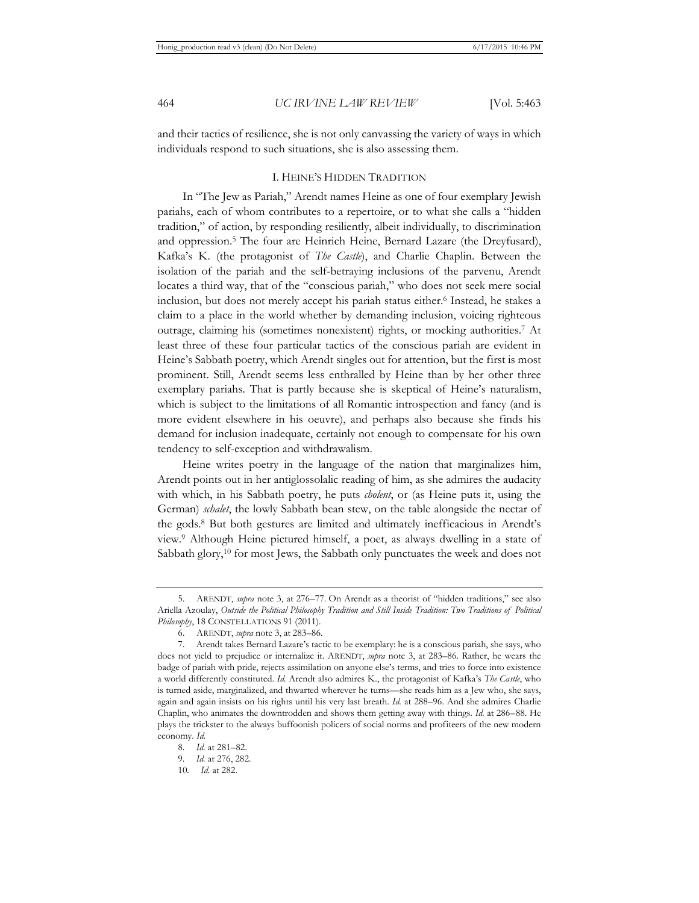and their tactics of resilience, she is not only canvassing the variety of ways in which individuals respond to such situations, she is also assessing them.

## I. HEINE'S HIDDEN TRADITION

In "The Jew as Pariah," Arendt names Heine as one of four exemplary Jewish pariahs, each of whom contributes to a repertoire, or to what she calls a "hidden tradition," of action, by responding resiliently, albeit individually, to discrimination and oppression.5 The four are Heinrich Heine, Bernard Lazare (the Dreyfusard), Kafka's K. (the protagonist of *The Castle*), and Charlie Chaplin. Between the isolation of the pariah and the self-betraying inclusions of the parvenu, Arendt locates a third way, that of the "conscious pariah," who does not seek mere social inclusion, but does not merely accept his pariah status either.6 Instead, he stakes a claim to a place in the world whether by demanding inclusion, voicing righteous outrage, claiming his (sometimes nonexistent) rights, or mocking authorities.7 At least three of these four particular tactics of the conscious pariah are evident in Heine's Sabbath poetry, which Arendt singles out for attention, but the first is most prominent. Still, Arendt seems less enthralled by Heine than by her other three exemplary pariahs. That is partly because she is skeptical of Heine's naturalism, which is subject to the limitations of all Romantic introspection and fancy (and is more evident elsewhere in his oeuvre), and perhaps also because she finds his demand for inclusion inadequate, certainly not enough to compensate for his own tendency to self-exception and withdrawalism.

Heine writes poetry in the language of the nation that marginalizes him, Arendt points out in her antiglossolalic reading of him, as she admires the audacity with which, in his Sabbath poetry, he puts *cholent*, or (as Heine puts it, using the German) *schalet*, the lowly Sabbath bean stew, on the table alongside the nectar of the gods.8 But both gestures are limited and ultimately inefficacious in Arendt's view.9 Although Heine pictured himself, a poet, as always dwelling in a state of Sabbath glory,<sup>10</sup> for most Jews, the Sabbath only punctuates the week and does not

<sup>5.</sup> ARENDT, *supra* note 3, at 276–77*.* On Arendt as a theorist of "hidden traditions," see also Ariella Azoulay, *Outside the Political Philosophy Tradition and Still Inside Tradition: Two Traditions of Political Philosophy*, 18 CONSTELLATIONS 91 (2011).

<sup>6.</sup> ARENDT, *supra* note 3, at 283–86.

<sup>7.</sup> Arendt takes Bernard Lazare's tactic to be exemplary: he is a conscious pariah, she says, who does not yield to prejudice or internalize it. ARENDT, *supra* note 3, at 283–86. Rather, he wears the badge of pariah with pride, rejects assimilation on anyone else's terms, and tries to force into existence a world differently constituted. *Id.* Arendt also admires K., the protagonist of Kafka's *The Castle*, who is turned aside, marginalized, and thwarted wherever he turns—she reads him as a Jew who, she says, again and again insists on his rights until his very last breath. *Id.* at 288–96. And she admires Charlie Chaplin, who animates the downtrodden and shows them getting away with things. *Id.* at 286–88. He plays the trickster to the always buffoonish policers of social norms and profiteers of the new modern economy. *Id.*

<sup>8</sup>*. Id.* at 281–82.

<sup>9</sup>*. Id.* at 276, 282.

<sup>10</sup>*. Id.* at 282.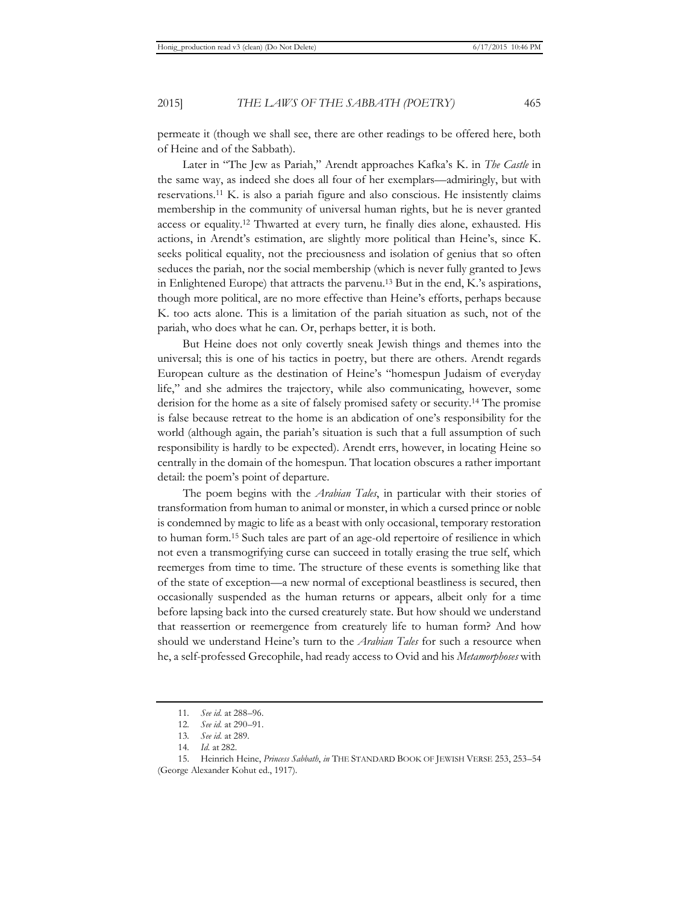permeate it (though we shall see, there are other readings to be offered here, both of Heine and of the Sabbath).

Later in "The Jew as Pariah," Arendt approaches Kafka's K. in *The Castle* in the same way, as indeed she does all four of her exemplars—admiringly, but with reservations.11 K. is also a pariah figure and also conscious. He insistently claims membership in the community of universal human rights, but he is never granted access or equality.12 Thwarted at every turn, he finally dies alone, exhausted. His actions, in Arendt's estimation, are slightly more political than Heine's, since K. seeks political equality, not the preciousness and isolation of genius that so often seduces the pariah, nor the social membership (which is never fully granted to Jews in Enlightened Europe) that attracts the parvenu.13 But in the end, K.'s aspirations, though more political, are no more effective than Heine's efforts, perhaps because K. too acts alone. This is a limitation of the pariah situation as such, not of the pariah, who does what he can. Or, perhaps better, it is both.

But Heine does not only covertly sneak Jewish things and themes into the universal; this is one of his tactics in poetry, but there are others. Arendt regards European culture as the destination of Heine's "homespun Judaism of everyday life," and she admires the trajectory, while also communicating, however, some derision for the home as a site of falsely promised safety or security.14 The promise is false because retreat to the home is an abdication of one's responsibility for the world (although again, the pariah's situation is such that a full assumption of such responsibility is hardly to be expected). Arendt errs, however, in locating Heine so centrally in the domain of the homespun. That location obscures a rather important detail: the poem's point of departure.

The poem begins with the *Arabian Tales*, in particular with their stories of transformation from human to animal or monster, in which a cursed prince or noble is condemned by magic to life as a beast with only occasional, temporary restoration to human form.15 Such tales are part of an age-old repertoire of resilience in which not even a transmogrifying curse can succeed in totally erasing the true self, which reemerges from time to time. The structure of these events is something like that of the state of exception—a new normal of exceptional beastliness is secured, then occasionally suspended as the human returns or appears, albeit only for a time before lapsing back into the cursed creaturely state. But how should we understand that reassertion or reemergence from creaturely life to human form? And how should we understand Heine's turn to the *Arabian Tales* for such a resource when he, a self-professed Grecophile, had ready access to Ovid and his *Metamorphoses* with

<sup>11</sup>*. See id.* at 288–96.

<sup>12</sup>*. See id.* at 290–91.

<sup>13</sup>*. See id.* at 289.

<sup>14</sup>*. Id.* at 282.

<sup>15.</sup> Heinrich Heine, *Princess Sabbath*, *in* THE STANDARD BOOK OF JEWISH VERSE 253, 253–54 (George Alexander Kohut ed., 1917).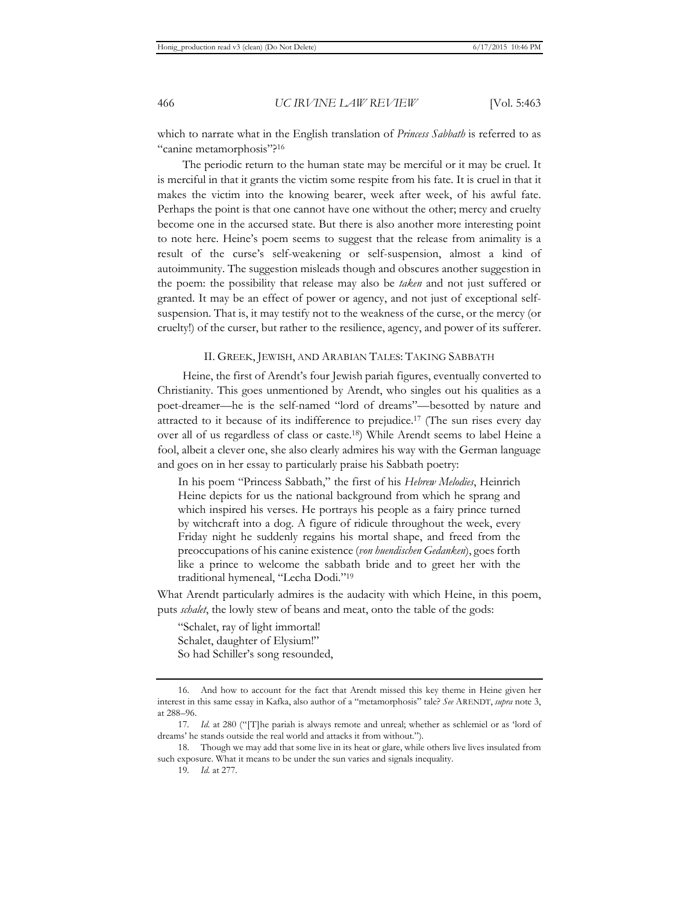which to narrate what in the English translation of *Princess Sabbath* is referred to as "canine metamorphosis"?16

The periodic return to the human state may be merciful or it may be cruel. It is merciful in that it grants the victim some respite from his fate. It is cruel in that it makes the victim into the knowing bearer, week after week, of his awful fate. Perhaps the point is that one cannot have one without the other; mercy and cruelty become one in the accursed state. But there is also another more interesting point to note here. Heine's poem seems to suggest that the release from animality is a result of the curse's self-weakening or self-suspension, almost a kind of autoimmunity. The suggestion misleads though and obscures another suggestion in the poem: the possibility that release may also be *taken* and not just suffered or granted. It may be an effect of power or agency, and not just of exceptional selfsuspension. That is, it may testify not to the weakness of the curse, or the mercy (or cruelty!) of the curser, but rather to the resilience, agency, and power of its sufferer.

## II. GREEK, JEWISH, AND ARABIAN TALES: TAKING SABBATH

Heine, the first of Arendt's four Jewish pariah figures, eventually converted to Christianity. This goes unmentioned by Arendt, who singles out his qualities as a poet-dreamer—he is the self-named "lord of dreams"—besotted by nature and attracted to it because of its indifference to prejudice.17 (The sun rises every day over all of us regardless of class or caste.18) While Arendt seems to label Heine a fool, albeit a clever one, she also clearly admires his way with the German language and goes on in her essay to particularly praise his Sabbath poetry:

In his poem "Princess Sabbath," the first of his *Hebrew Melodies*, Heinrich Heine depicts for us the national background from which he sprang and which inspired his verses. He portrays his people as a fairy prince turned by witchcraft into a dog. A figure of ridicule throughout the week, every Friday night he suddenly regains his mortal shape, and freed from the preoccupations of his canine existence (*von huendischen Gedanken*), goes forth like a prince to welcome the sabbath bride and to greet her with the traditional hymeneal, "Lecha Dodi."19

What Arendt particularly admires is the audacity with which Heine, in this poem, puts *schalet*, the lowly stew of beans and meat, onto the table of the gods:

"Schalet, ray of light immortal! Schalet, daughter of Elysium!" So had Schiller's song resounded,

<sup>16.</sup> And how to account for the fact that Arendt missed this key theme in Heine given her interest in this same essay in Kafka, also author of a "metamorphosis" tale? *See* ARENDT, *supra* note 3, at 288–96.

<sup>17.</sup> Id. at 280 ("[T]he pariah is always remote and unreal; whether as schlemiel or as 'lord of dreams' he stands outside the real world and attacks it from without.").

<sup>18.</sup> Though we may add that some live in its heat or glare, while others live lives insulated from such exposure. What it means to be under the sun varies and signals inequality.

<sup>19</sup>*. Id.* at 277.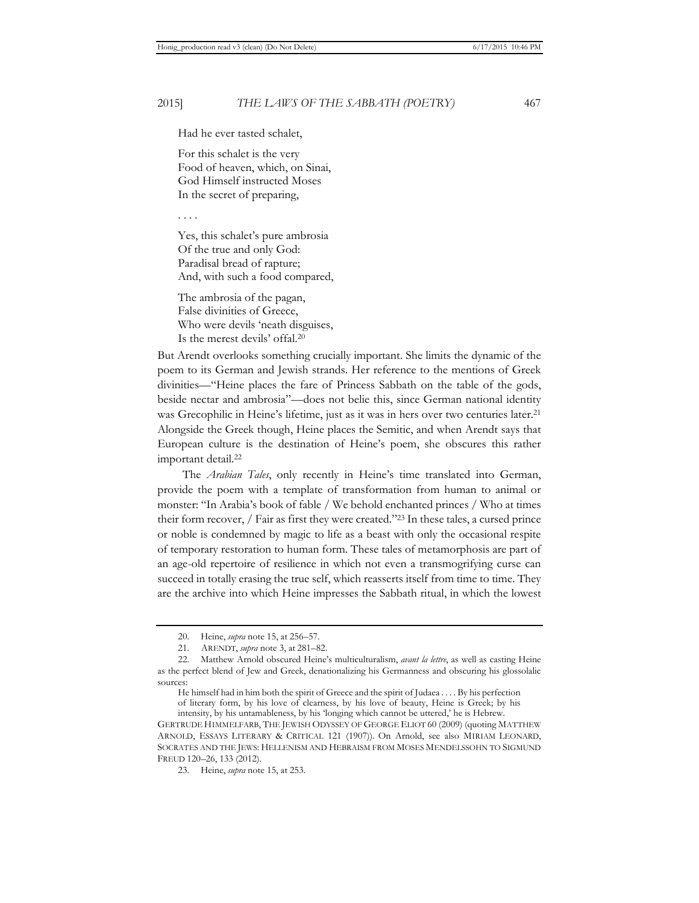Had he ever tasted schalet,

For this schalet is the very Food of heaven, which, on Sinai, God Himself instructed Moses In the secret of preparing,

. . . .

Yes, this schalet's pure ambrosia Of the true and only God: Paradisal bread of rapture; And, with such a food compared,

The ambrosia of the pagan, False divinities of Greece, Who were devils 'neath disguises, Is the merest devils' offal.20

But Arendt overlooks something crucially important. She limits the dynamic of the poem to its German and Jewish strands. Her reference to the mentions of Greek divinities—"Heine places the fare of Princess Sabbath on the table of the gods, beside nectar and ambrosia"—does not belie this, since German national identity was Grecophilic in Heine's lifetime, just as it was in hers over two centuries later.<sup>21</sup> Alongside the Greek though, Heine places the Semitic, and when Arendt says that European culture is the destination of Heine's poem, she obscures this rather important detail.<sup>22</sup>

The *Arabian Tales*, only recently in Heine's time translated into German, provide the poem with a template of transformation from human to animal or monster: "In Arabia's book of fable / We behold enchanted princes / Who at times their form recover, / Fair as first they were created."23 In these tales, a cursed prince or noble is condemned by magic to life as a beast with only the occasional respite of temporary restoration to human form. These tales of metamorphosis are part of an age-old repertoire of resilience in which not even a transmogrifying curse can succeed in totally erasing the true self, which reasserts itself from time to time. They are the archive into which Heine impresses the Sabbath ritual, in which the lowest

<sup>20.</sup> Heine, *supra* note 15, at 256–57*.*

<sup>21.</sup> ARENDT, *supra* note 3, at 281–82.

<sup>22.</sup> Matthew Arnold obscured Heine's multiculturalism, *avant la lettre*, as well as casting Heine as the perfect blend of Jew and Greek, denationalizing his Germanness and obscuring his glossolalic sources:

He himself had in him both the spirit of Greece and the spirit of Judaea . . . . By his perfection of literary form, by his love of clearness, by his love of beauty, Heine is Greek; by his intensity, by his untamableness, by his 'longing which cannot be uttered,' he is Hebrew.

GERTRUDE HIMMELFARB, THE JEWISH ODYSSEY OF GEORGE ELIOT 60 (2009) (quoting MATTHEW ARNOLD, ESSAYS LITERARY & CRITICAL 121 (1907)). On Arnold, see also MIRIAM LEONARD, SOCRATES AND THE JEWS: HELLENISM AND HEBRAISM FROM MOSES MENDELSSOHN TO SIGMUND FREUD 120–26, 133 (2012).

<sup>23.</sup> Heine, *supra* note 15, at 253.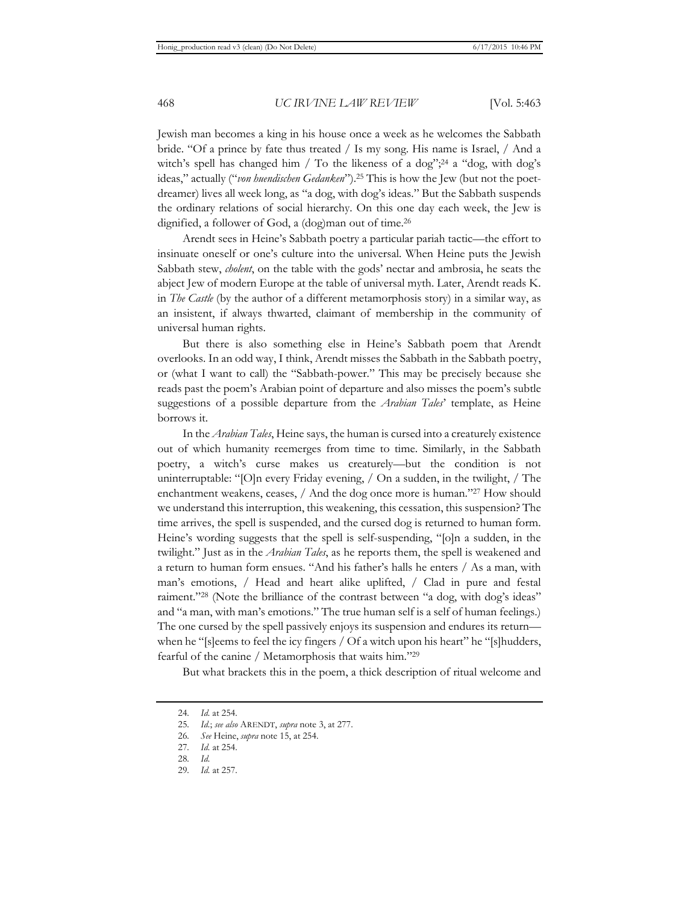Jewish man becomes a king in his house once a week as he welcomes the Sabbath bride. "Of a prince by fate thus treated / Is my song. His name is Israel, / And a witch's spell has changed him / To the likeness of a dog";<sup>24</sup> a "dog, with dog's ideas," actually ("*von huendischen Gedanken*").25 This is how the Jew (but not the poetdreamer) lives all week long, as "a dog, with dog's ideas." But the Sabbath suspends the ordinary relations of social hierarchy. On this one day each week, the Jew is dignified, a follower of God, a (dog)man out of time.26

Arendt sees in Heine's Sabbath poetry a particular pariah tactic—the effort to insinuate oneself or one's culture into the universal. When Heine puts the Jewish Sabbath stew, *cholent*, on the table with the gods' nectar and ambrosia, he seats the abject Jew of modern Europe at the table of universal myth. Later, Arendt reads K. in *The Castle* (by the author of a different metamorphosis story) in a similar way, as an insistent, if always thwarted, claimant of membership in the community of universal human rights.

But there is also something else in Heine's Sabbath poem that Arendt overlooks. In an odd way, I think, Arendt misses the Sabbath in the Sabbath poetry, or (what I want to call) the "Sabbath-power." This may be precisely because she reads past the poem's Arabian point of departure and also misses the poem's subtle suggestions of a possible departure from the *Arabian Tales*' template, as Heine borrows it.

In the *Arabian Tales*, Heine says, the human is cursed into a creaturely existence out of which humanity reemerges from time to time. Similarly, in the Sabbath poetry, a witch's curse makes us creaturely—but the condition is not uninterruptable: "[O]n every Friday evening, / On a sudden, in the twilight, / The enchantment weakens, ceases, / And the dog once more is human."27 How should we understand this interruption, this weakening, this cessation, this suspension? The time arrives, the spell is suspended, and the cursed dog is returned to human form. Heine's wording suggests that the spell is self-suspending, "[o]n a sudden, in the twilight." Just as in the *Arabian Tales*, as he reports them, the spell is weakened and a return to human form ensues. "And his father's halls he enters / As a man, with man's emotions, / Head and heart alike uplifted, / Clad in pure and festal raiment."28 (Note the brilliance of the contrast between "a dog, with dog's ideas" and "a man, with man's emotions." The true human self is a self of human feelings.) The one cursed by the spell passively enjoys its suspension and endures its return when he "[s]eems to feel the icy fingers / Of a witch upon his heart" he "[s]hudders, fearful of the canine / Metamorphosis that waits him."29

But what brackets this in the poem, a thick description of ritual welcome and

<sup>24</sup>*. Id.* at 254.

<sup>25</sup>*. Id.*; *see also* ARENDT, *supra* note 3, at 277.

<sup>26</sup>*. See* Heine, *supra* note 15, at 254.

<sup>27</sup>*. Id.* at 254.

<sup>28</sup>*. Id.* 

<sup>29</sup>*. Id.* at 257.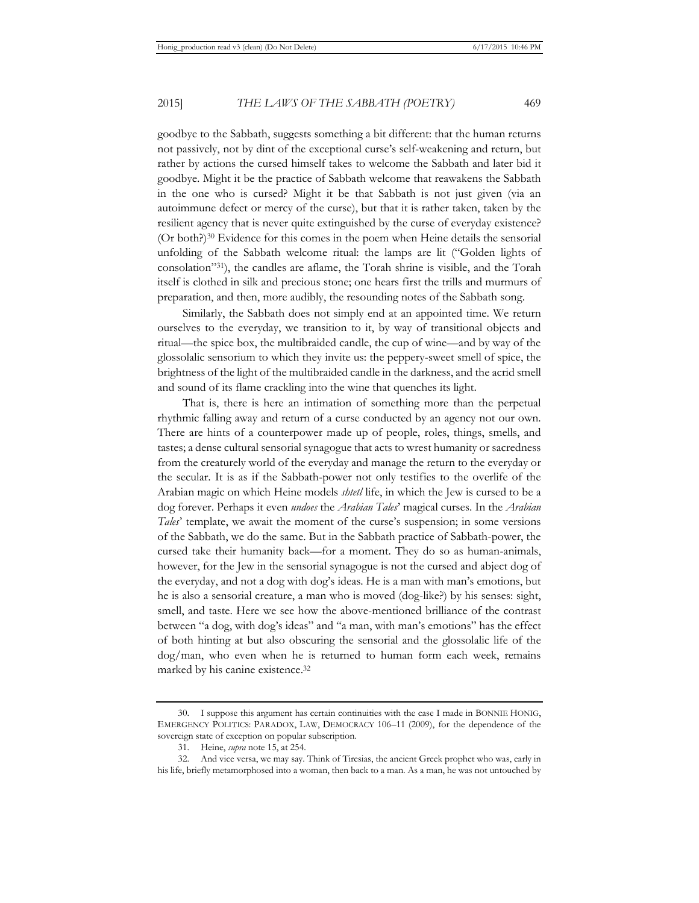goodbye to the Sabbath, suggests something a bit different: that the human returns not passively, not by dint of the exceptional curse's self-weakening and return, but rather by actions the cursed himself takes to welcome the Sabbath and later bid it goodbye. Might it be the practice of Sabbath welcome that reawakens the Sabbath in the one who is cursed? Might it be that Sabbath is not just given (via an autoimmune defect or mercy of the curse), but that it is rather taken, taken by the resilient agency that is never quite extinguished by the curse of everyday existence? (Or both?)30 Evidence for this comes in the poem when Heine details the sensorial unfolding of the Sabbath welcome ritual: the lamps are lit ("Golden lights of consolation"31), the candles are aflame, the Torah shrine is visible, and the Torah itself is clothed in silk and precious stone; one hears first the trills and murmurs of preparation, and then, more audibly, the resounding notes of the Sabbath song.

Similarly, the Sabbath does not simply end at an appointed time. We return ourselves to the everyday, we transition to it, by way of transitional objects and ritual—the spice box, the multibraided candle, the cup of wine—and by way of the glossolalic sensorium to which they invite us: the peppery-sweet smell of spice, the brightness of the light of the multibraided candle in the darkness, and the acrid smell and sound of its flame crackling into the wine that quenches its light.

That is, there is here an intimation of something more than the perpetual rhythmic falling away and return of a curse conducted by an agency not our own. There are hints of a counterpower made up of people, roles, things, smells, and tastes; a dense cultural sensorial synagogue that acts to wrest humanity or sacredness from the creaturely world of the everyday and manage the return to the everyday or the secular. It is as if the Sabbath-power not only testifies to the overlife of the Arabian magic on which Heine models *shtetl* life, in which the Jew is cursed to be a dog forever. Perhaps it even *undoes* the *Arabian Tales*' magical curses. In the *Arabian Tales*' template, we await the moment of the curse's suspension; in some versions of the Sabbath, we do the same. But in the Sabbath practice of Sabbath-power, the cursed take their humanity back—for a moment. They do so as human-animals, however, for the Jew in the sensorial synagogue is not the cursed and abject dog of the everyday, and not a dog with dog's ideas. He is a man with man's emotions, but he is also a sensorial creature, a man who is moved (dog-like?) by his senses: sight, smell, and taste. Here we see how the above-mentioned brilliance of the contrast between "a dog, with dog's ideas" and "a man, with man's emotions" has the effect of both hinting at but also obscuring the sensorial and the glossolalic life of the dog/man, who even when he is returned to human form each week, remains marked by his canine existence.32

<sup>30.</sup> I suppose this argument has certain continuities with the case I made in BONNIE HONIG, EMERGENCY POLITICS: PARADOX, LAW, DEMOCRACY 106–11 (2009), for the dependence of the sovereign state of exception on popular subscription.

<sup>31.</sup> Heine, *supra* note 15, at 254.

<sup>32.</sup> And vice versa, we may say. Think of Tiresias, the ancient Greek prophet who was, early in his life, briefly metamorphosed into a woman, then back to a man. As a man, he was not untouched by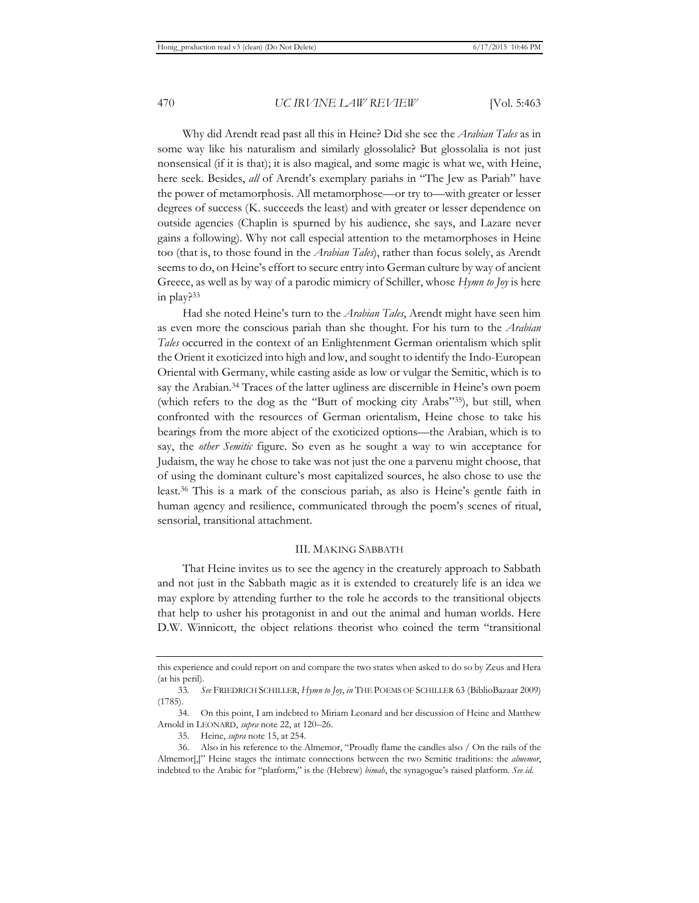Why did Arendt read past all this in Heine? Did she see the *Arabian Tales* as in some way like his naturalism and similarly glossolalic? But glossolalia is not just nonsensical (if it is that); it is also magical, and some magic is what we, with Heine, here seek. Besides, *all* of Arendt's exemplary pariahs in "The Jew as Pariah" have the power of metamorphosis. All metamorphose—or try to—with greater or lesser degrees of success (K. succeeds the least) and with greater or lesser dependence on outside agencies (Chaplin is spurned by his audience, she says, and Lazare never gains a following). Why not call especial attention to the metamorphoses in Heine too (that is, to those found in the *Arabian Tales*), rather than focus solely, as Arendt seems to do, on Heine's effort to secure entry into German culture by way of ancient Greece, as well as by way of a parodic mimicry of Schiller, whose *Hymn to Joy* is here in play?33

Had she noted Heine's turn to the *Arabian Tales*, Arendt might have seen him as even more the conscious pariah than she thought. For his turn to the *Arabian Tales* occurred in the context of an Enlightenment German orientalism which split the Orient it exoticized into high and low, and sought to identify the Indo-European Oriental with Germany, while casting aside as low or vulgar the Semitic, which is to say the Arabian.<sup>34</sup> Traces of the latter ugliness are discernible in Heine's own poem (which refers to the dog as the "Butt of mocking city Arabs"35), but still, when confronted with the resources of German orientalism, Heine chose to take his bearings from the more abject of the exoticized options—the Arabian, which is to say, the *other Semitic* figure. So even as he sought a way to win acceptance for Judaism, the way he chose to take was not just the one a parvenu might choose, that of using the dominant culture's most capitalized sources, he also chose to use the least.36 This is a mark of the conscious pariah, as also is Heine's gentle faith in human agency and resilience, communicated through the poem's scenes of ritual, sensorial, transitional attachment.

## III. MAKING SABBATH

That Heine invites us to see the agency in the creaturely approach to Sabbath and not just in the Sabbath magic as it is extended to creaturely life is an idea we may explore by attending further to the role he accords to the transitional objects that help to usher his protagonist in and out the animal and human worlds. Here D.W. Winnicott, the object relations theorist who coined the term "transitional

this experience and could report on and compare the two states when asked to do so by Zeus and Hera (at his peril).

<sup>33</sup>*. See* FRIEDRICH SCHILLER, *Hymn to Joy*, *in* THE POEMS OF SCHILLER 63 (BiblioBazaar 2009) (1785).

<sup>34.</sup> On this point, I am indebted to Miriam Leonard and her discussion of Heine and Matthew Arnold in LEONARD, *supra* note 22, at 120–26.

<sup>35.</sup> Heine, *supra* note 15, at 254.

<sup>36.</sup> Also in his reference to the Almemor, "Proudly flame the candles also / On the rails of the Almemor[,]" Heine stages the intimate connections between the two Semitic traditions: the *almemor*, indebted to the Arabic for "platform," is the (Hebrew) *bimah*, the synagogue's raised platform. *See id.*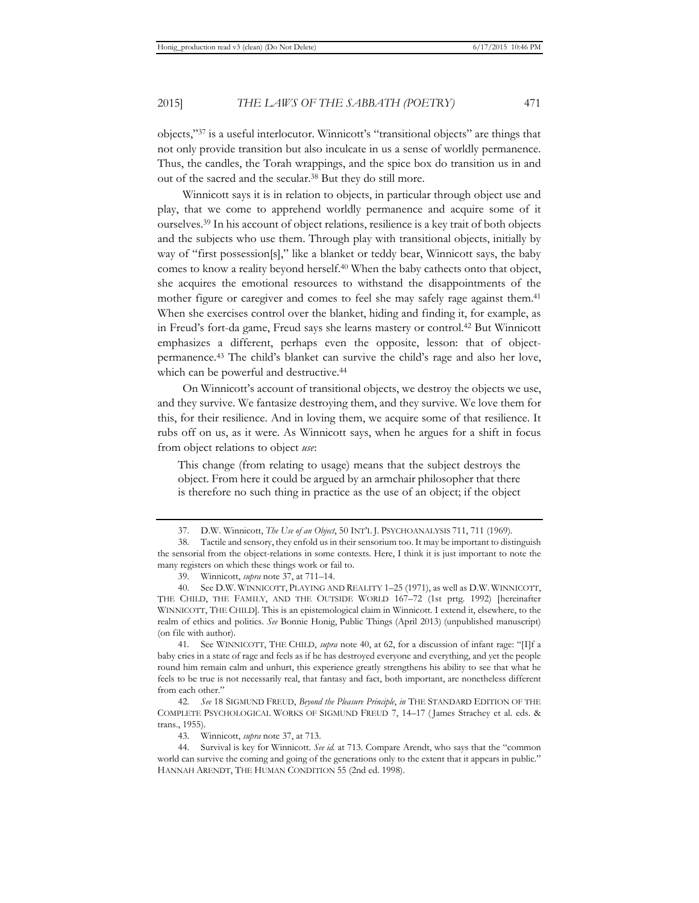objects,"37 is a useful interlocutor. Winnicott's "transitional objects" are things that not only provide transition but also inculcate in us a sense of worldly permanence. Thus, the candles, the Torah wrappings, and the spice box do transition us in and out of the sacred and the secular.38 But they do still more.

Winnicott says it is in relation to objects, in particular through object use and play, that we come to apprehend worldly permanence and acquire some of it ourselves.39 In his account of object relations, resilience is a key trait of both objects and the subjects who use them. Through play with transitional objects, initially by way of "first possession[s]," like a blanket or teddy bear, Winnicott says, the baby comes to know a reality beyond herself.40 When the baby cathects onto that object, she acquires the emotional resources to withstand the disappointments of the mother figure or caregiver and comes to feel she may safely rage against them.<sup>41</sup> When she exercises control over the blanket, hiding and finding it, for example, as in Freud's fort-da game, Freud says she learns mastery or control.42 But Winnicott emphasizes a different, perhaps even the opposite, lesson: that of objectpermanence.43 The child's blanket can survive the child's rage and also her love, which can be powerful and destructive.<sup>44</sup>

On Winnicott's account of transitional objects, we destroy the objects we use, and they survive. We fantasize destroying them, and they survive. We love them for this, for their resilience. And in loving them, we acquire some of that resilience. It rubs off on us, as it were. As Winnicott says, when he argues for a shift in focus from object relations to object *use*:

This change (from relating to usage) means that the subject destroys the object. From here it could be argued by an armchair philosopher that there is therefore no such thing in practice as the use of an object; if the object

41*.* See WINNICOTT, THE CHILD, *supra* note 40, at 62, for a discussion of infant rage: "[I]f a baby cries in a state of rage and feels as if he has destroyed everyone and everything, and yet the people round him remain calm and unhurt, this experience greatly strengthens his ability to see that what he feels to be true is not necessarily real, that fantasy and fact, both important, are nonetheless different from each other."

42*. See* 18 SIGMUND FREUD, *Beyond the Pleasure Principle*, *in* THE STANDARD EDITION OF THE COMPLETE PSYCHOLOGICAL WORKS OF SIGMUND FREUD 7, 14–17 ( James Strachey et al. eds. & trans., 1955).

43. Winnicott, *supra* note 37, at 713.

44. Survival is key for Winnicott. *See id.* at 713. Compare Arendt, who says that the "common world can survive the coming and going of the generations only to the extent that it appears in public." HANNAH ARENDT, THE HUMAN CONDITION 55 (2nd ed. 1998).

<sup>37.</sup> D.W. Winnicott, *The Use of an Object*, 50 INT'L J. PSYCHOANALYSIS 711, 711 (1969).

<sup>38.</sup> Tactile and sensory, they enfold us in their sensorium too. It may be important to distinguish the sensorial from the object-relations in some contexts. Here, I think it is just important to note the many registers on which these things work or fail to.

<sup>39.</sup> Winnicott, *supra* note 37, at 711–14.

<sup>40.</sup> See D.W. WINNICOTT, PLAYING AND REALITY 1–25 (1971), as well as D.W. WINNICOTT, THE CHILD, THE FAMILY, AND THE OUTSIDE WORLD 167–72 (1st prtg. 1992) [hereinafter WINNICOTT, THE CHILD]. This is an epistemological claim in Winnicott. I extend it, elsewhere, to the realm of ethics and politics. *See* Bonnie Honig, Public Things (April 2013) (unpublished manuscript) (on file with author).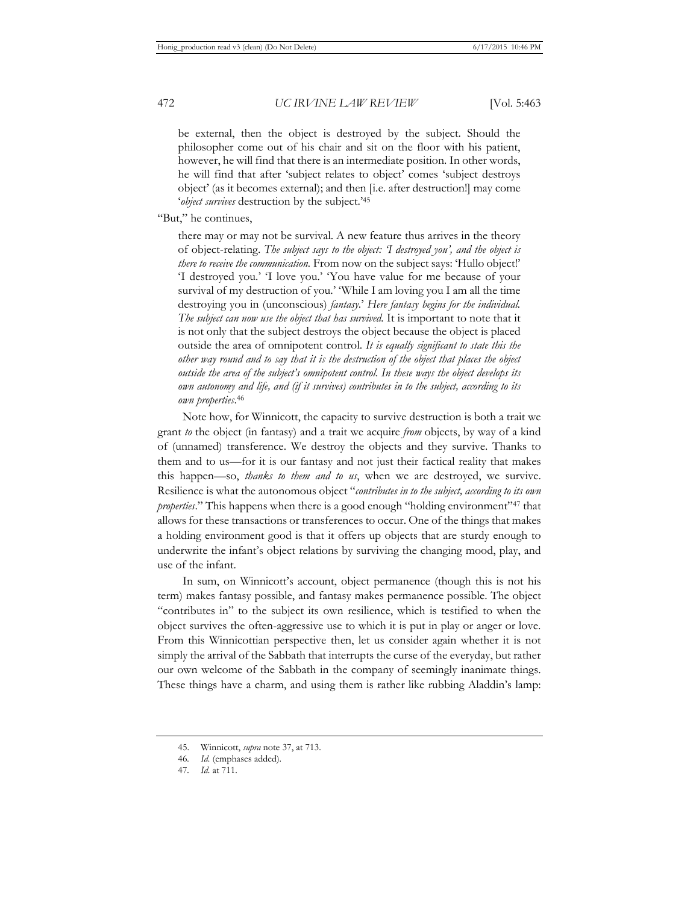be external, then the object is destroyed by the subject. Should the philosopher come out of his chair and sit on the floor with his patient, however, he will find that there is an intermediate position. In other words, he will find that after 'subject relates to object' comes 'subject destroys object' (as it becomes external); and then [i.e. after destruction!] may come '*object survives* destruction by the subject.'45

"But," he continues,

there may or may not be survival. A new feature thus arrives in the theory of object-relating. *The subject says to the object: 'I destroyed you', and the object is there to receive the communication.* From now on the subject says: 'Hullo object!' 'I destroyed you.' 'I love you.' 'You have value for me because of your survival of my destruction of you.' 'While I am loving you I am all the time destroying you in (unconscious) *fantasy*.' *Here fantasy begins for the individual. The subject can now use the object that has survived.* It is important to note that it is not only that the subject destroys the object because the object is placed outside the area of omnipotent control. *It is equally significant to state this the other way round and to say that it is the destruction of the object that places the object outside the area of the subject's omnipotent control. In these ways the object develops its own autonomy and life, and (if it survives) contributes in to the subject, according to its own properties*. 46

Note how, for Winnicott, the capacity to survive destruction is both a trait we grant *to* the object (in fantasy) and a trait we acquire *from* objects, by way of a kind of (unnamed) transference. We destroy the objects and they survive. Thanks to them and to us—for it is our fantasy and not just their factical reality that makes this happen—so, *thanks to them and to us*, when we are destroyed, we survive. Resilience is what the autonomous object "*contributes in to the subject, according to its own properties*." This happens when there is a good enough "holding environment"<sup>47</sup> that allows for these transactions or transferences to occur. One of the things that makes a holding environment good is that it offers up objects that are sturdy enough to underwrite the infant's object relations by surviving the changing mood, play, and use of the infant.

In sum, on Winnicott's account, object permanence (though this is not his term) makes fantasy possible, and fantasy makes permanence possible. The object "contributes in" to the subject its own resilience, which is testified to when the object survives the often-aggressive use to which it is put in play or anger or love. From this Winnicottian perspective then, let us consider again whether it is not simply the arrival of the Sabbath that interrupts the curse of the everyday, but rather our own welcome of the Sabbath in the company of seemingly inanimate things. These things have a charm, and using them is rather like rubbing Aladdin's lamp:

<sup>45.</sup> Winnicott, *supra* note 37, at 713.

<sup>46</sup>*. Id.* (emphases added).

<sup>47</sup>*. Id.* at 711.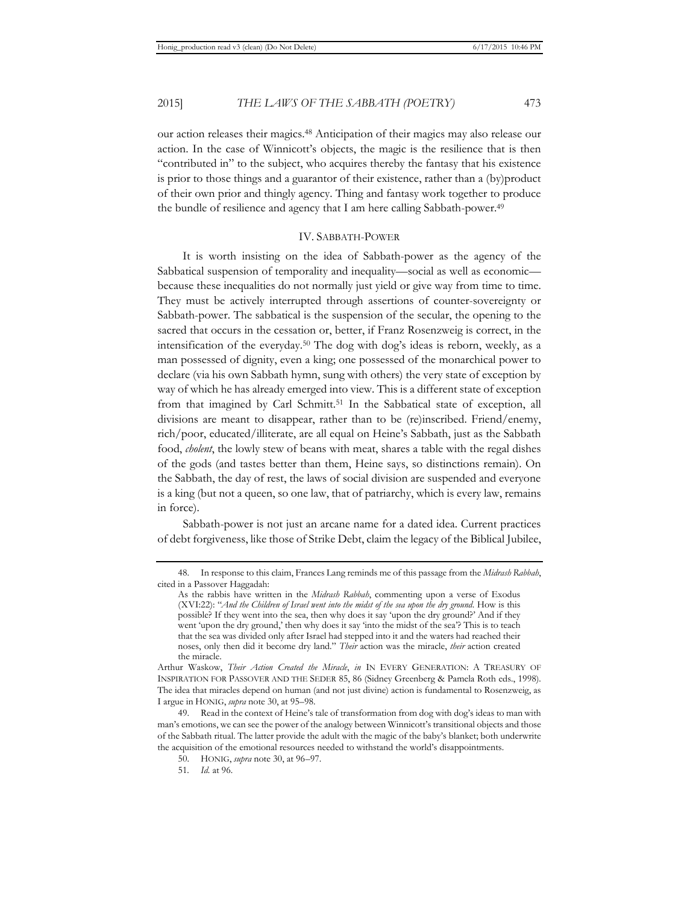our action releases their magics.48 Anticipation of their magics may also release our action. In the case of Winnicott's objects, the magic is the resilience that is then "contributed in" to the subject, who acquires thereby the fantasy that his existence is prior to those things and a guarantor of their existence, rather than a (by)product of their own prior and thingly agency. Thing and fantasy work together to produce the bundle of resilience and agency that I am here calling Sabbath-power.49

## IV. SABBATH-POWER

It is worth insisting on the idea of Sabbath-power as the agency of the Sabbatical suspension of temporality and inequality—social as well as economic because these inequalities do not normally just yield or give way from time to time. They must be actively interrupted through assertions of counter-sovereignty or Sabbath-power. The sabbatical is the suspension of the secular, the opening to the sacred that occurs in the cessation or, better, if Franz Rosenzweig is correct, in the intensification of the everyday.50 The dog with dog's ideas is reborn, weekly, as a man possessed of dignity, even a king; one possessed of the monarchical power to declare (via his own Sabbath hymn, sung with others) the very state of exception by way of which he has already emerged into view. This is a different state of exception from that imagined by Carl Schmitt.<sup>51</sup> In the Sabbatical state of exception, all divisions are meant to disappear, rather than to be (re)inscribed. Friend/enemy, rich/poor, educated/illiterate, are all equal on Heine's Sabbath, just as the Sabbath food, *cholent*, the lowly stew of beans with meat, shares a table with the regal dishes of the gods (and tastes better than them, Heine says, so distinctions remain). On the Sabbath, the day of rest, the laws of social division are suspended and everyone is a king (but not a queen, so one law, that of patriarchy, which is every law, remains in force).

Sabbath-power is not just an arcane name for a dated idea. Current practices of debt forgiveness, like those of Strike Debt, claim the legacy of the Biblical Jubilee,

<sup>48.</sup> In response to this claim, Frances Lang reminds me of this passage from the *Midrash Rabbah*, cited in a Passover Haggadah:

As the rabbis have written in the *Midrash Rabbah*, commenting upon a verse of Exodus (XVI:22): "*And the Children of Israel went into the midst of the sea upon the dry ground*. How is this possible? If they went into the sea, then why does it say 'upon the dry ground?' And if they went 'upon the dry ground,' then why does it say 'into the midst of the sea'? This is to teach that the sea was divided only after Israel had stepped into it and the waters had reached their noses, only then did it become dry land." *Their* action was the miracle, *their* action created the miracle.

Arthur Waskow, *Their Action Created the Miracle*, *in* IN EVERY GENERATION: A TREASURY OF INSPIRATION FOR PASSOVER AND THE SEDER 85, 86 (Sidney Greenberg & Pamela Roth eds., 1998). The idea that miracles depend on human (and not just divine) action is fundamental to Rosenzweig, as I argue in HONIG, *supra* note 30, at 95–98.

<sup>49.</sup> Read in the context of Heine's tale of transformation from dog with dog's ideas to man with man's emotions, we can see the power of the analogy between Winnicott's transitional objects and those of the Sabbath ritual. The latter provide the adult with the magic of the baby's blanket; both underwrite the acquisition of the emotional resources needed to withstand the world's disappointments.

<sup>50.</sup> HONIG, *supra* note 30, at 96–97.

<sup>51</sup>*. Id.* at 96.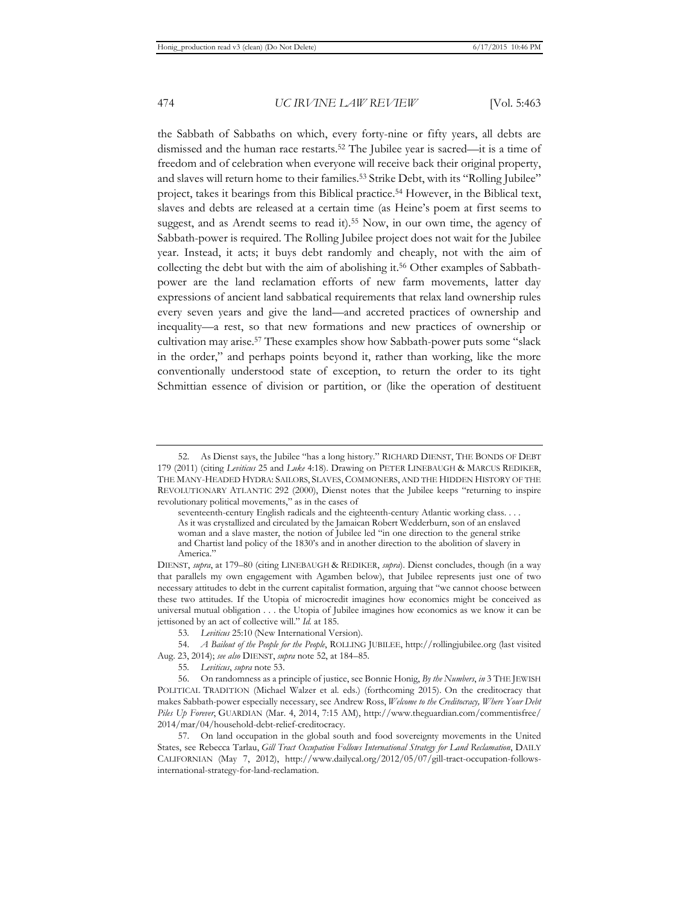the Sabbath of Sabbaths on which, every forty-nine or fifty years, all debts are dismissed and the human race restarts.52 The Jubilee year is sacred—it is a time of freedom and of celebration when everyone will receive back their original property, and slaves will return home to their families.53 Strike Debt, with its "Rolling Jubilee" project, takes it bearings from this Biblical practice.<sup>54</sup> However, in the Biblical text, slaves and debts are released at a certain time (as Heine's poem at first seems to suggest, and as Arendt seems to read it).<sup>55</sup> Now, in our own time, the agency of Sabbath-power is required. The Rolling Jubilee project does not wait for the Jubilee year. Instead, it acts; it buys debt randomly and cheaply, not with the aim of collecting the debt but with the aim of abolishing it.56 Other examples of Sabbathpower are the land reclamation efforts of new farm movements, latter day expressions of ancient land sabbatical requirements that relax land ownership rules every seven years and give the land—and accreted practices of ownership and inequality—a rest, so that new formations and new practices of ownership or cultivation may arise.57 These examples show how Sabbath-power puts some "slack in the order," and perhaps points beyond it, rather than working, like the more conventionally understood state of exception, to return the order to its tight Schmittian essence of division or partition, or (like the operation of destituent

seventeenth-century English radicals and the eighteenth-century Atlantic working class. . . . As it was crystallized and circulated by the Jamaican Robert Wedderburn, son of an enslaved woman and a slave master, the notion of Jubilee led "in one direction to the general strike and Chartist land policy of the 1830's and in another direction to the abolition of slavery in America."

DIENST, *supra*, at 179–80 (citing LINEBAUGH & REDIKER, *supra*). Dienst concludes, though (in a way that parallels my own engagement with Agamben below), that Jubilee represents just one of two necessary attitudes to debt in the current capitalist formation, arguing that "we cannot choose between these two attitudes. If the Utopia of microcredit imagines how economics might be conceived as universal mutual obligation . . . the Utopia of Jubilee imagines how economics as we know it can be jettisoned by an act of collective will." *Id.* at 185.

53*. Leviticus* 25:10 (New International Version).

54. *A Bailout of the People for the People*, ROLLING JUBILEE, http://rollingjubilee.org (last visited Aug. 23, 2014); *see also* DIENST, *supra* note 52, at 184–85.

55*. Leviticus*, *supra* note 53.

56. On randomness as a principle of justice, see Bonnie Honig, *By the Numbers*, *in* 3 THE JEWISH POLITICAL TRADITION (Michael Walzer et al. eds.) (forthcoming 2015). On the creditocracy that makes Sabbath-power especially necessary, see Andrew Ross, *Welcome to the Creditocracy, Where Your Debt Piles Up Forever*, GUARDIAN (Mar. 4, 2014, 7:15 AM), http://www.theguardian.com/commentisfree/ 2014/mar/04/household-debt-relief-creditocracy.

57. On land occupation in the global south and food sovereignty movements in the United States, see Rebecca Tarlau, *Gill Tract Occupation Follows International Strategy for Land Reclamation*, DAILY CALIFORNIAN (May 7, 2012), http://www.dailycal.org/2012/05/07/gill-tract-occupation-followsinternational-strategy-for-land-reclamation.

<sup>52.</sup> As Dienst says, the Jubilee "has a long history." RICHARD DIENST, THE BONDS OF DEBT 179 (2011) (citing *Leviticus* 25 and *Luke* 4:18). Drawing on PETER LINEBAUGH & MARCUS REDIKER, THE MANY-HEADED HYDRA: SAILORS, SLAVES, COMMONERS, AND THE HIDDEN HISTORY OF THE REVOLUTIONARY ATLANTIC 292 (2000), Dienst notes that the Jubilee keeps "returning to inspire revolutionary political movements," as in the cases of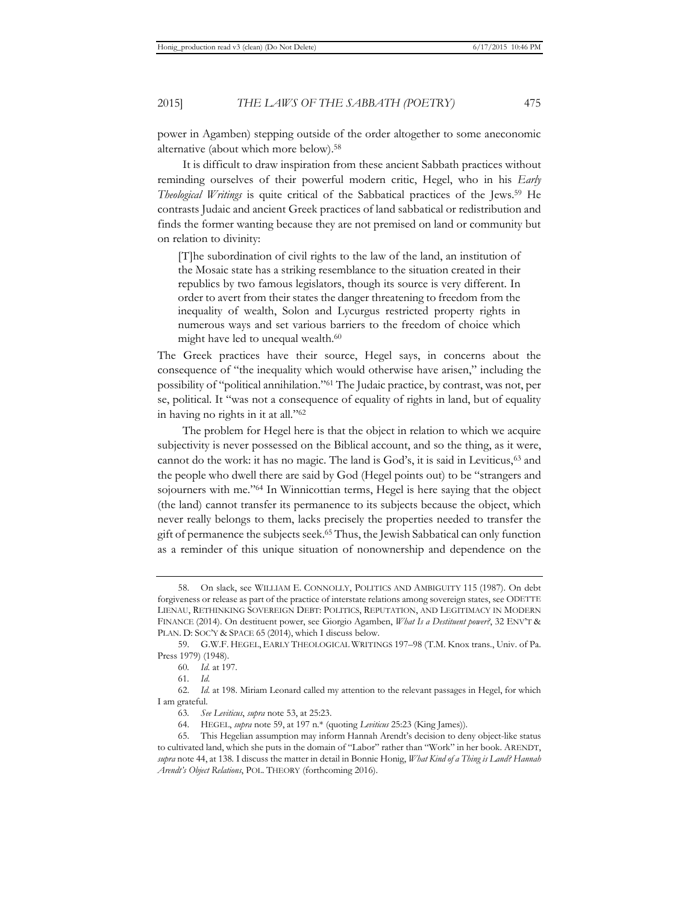power in Agamben) stepping outside of the order altogether to some aneconomic alternative (about which more below).58

It is difficult to draw inspiration from these ancient Sabbath practices without reminding ourselves of their powerful modern critic, Hegel, who in his *Early Theological Writings* is quite critical of the Sabbatical practices of the Jews.59 He contrasts Judaic and ancient Greek practices of land sabbatical or redistribution and finds the former wanting because they are not premised on land or community but on relation to divinity:

[T]he subordination of civil rights to the law of the land, an institution of the Mosaic state has a striking resemblance to the situation created in their republics by two famous legislators, though its source is very different. In order to avert from their states the danger threatening to freedom from the inequality of wealth, Solon and Lycurgus restricted property rights in numerous ways and set various barriers to the freedom of choice which might have led to unequal wealth.<sup>60</sup>

The Greek practices have their source, Hegel says, in concerns about the consequence of "the inequality which would otherwise have arisen," including the possibility of "political annihilation."61 The Judaic practice, by contrast, was not, per se, political. It "was not a consequence of equality of rights in land, but of equality in having no rights in it at all."62

The problem for Hegel here is that the object in relation to which we acquire subjectivity is never possessed on the Biblical account, and so the thing, as it were, cannot do the work: it has no magic. The land is  $God's$ , it is said in Leviticus, $63$  and the people who dwell there are said by God (Hegel points out) to be "strangers and sojourners with me."64 In Winnicottian terms, Hegel is here saying that the object (the land) cannot transfer its permanence to its subjects because the object, which never really belongs to them, lacks precisely the properties needed to transfer the gift of permanence the subjects seek.65 Thus, the Jewish Sabbatical can only function as a reminder of this unique situation of nonownership and dependence on the

<sup>58.</sup> On slack, see WILLIAM E. CONNOLLY, POLITICS AND AMBIGUITY 115 (1987). On debt forgiveness or release as part of the practice of interstate relations among sovereign states, see ODETTE LIENAU, RETHINKING SOVEREIGN DEBT: POLITICS, REPUTATION, AND LEGITIMACY IN MODERN FINANCE (2014). On destituent power, see Giorgio Agamben, *What Is a Destituent power?*, 32 ENV'T & PLAN. D: SOC'Y & SPACE 65 (2014), which I discuss below.

<sup>59.</sup> G.W.F. HEGEL, EARLY THEOLOGICAL WRITINGS 197–98 (T.M. Knox trans., Univ. of Pa. Press 1979) (1948).

<sup>60</sup>*. Id.* at 197.

<sup>61</sup>*. Id.* 

<sup>62.</sup> *Id.* at 198. Miriam Leonard called my attention to the relevant passages in Hegel, for which I am grateful.

<sup>63</sup>*. See Leviticus*, *supra* note 53, at 25:23.

<sup>64.</sup> HEGEL, *supra* note 59, at 197 n.\* (quoting *Leviticus* 25:23 (King James)).

<sup>65.</sup> This Hegelian assumption may inform Hannah Arendt's decision to deny object-like status to cultivated land, which she puts in the domain of "Labor" rather than "Work" in her book. ARENDT, *supra* note 44, at 138*.* I discuss the matter in detail in Bonnie Honig, *What Kind of a Thing is Land? Hannah Arendt's Object Relations*, POL. THEORY (forthcoming 2016).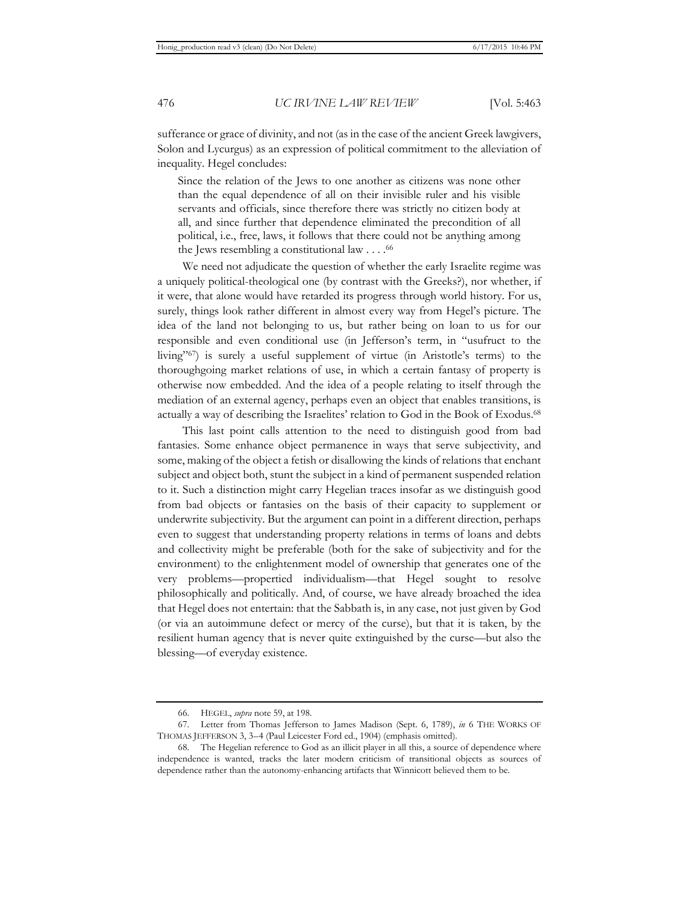sufferance or grace of divinity, and not (as in the case of the ancient Greek lawgivers, Solon and Lycurgus) as an expression of political commitment to the alleviation of inequality. Hegel concludes:

Since the relation of the Jews to one another as citizens was none other than the equal dependence of all on their invisible ruler and his visible servants and officials, since therefore there was strictly no citizen body at all, and since further that dependence eliminated the precondition of all political, i.e., free, laws, it follows that there could not be anything among the Jews resembling a constitutional law  $\dots$ .<sup>66</sup>

We need not adjudicate the question of whether the early Israelite regime was a uniquely political-theological one (by contrast with the Greeks?), nor whether, if it were, that alone would have retarded its progress through world history. For us, surely, things look rather different in almost every way from Hegel's picture. The idea of the land not belonging to us, but rather being on loan to us for our responsible and even conditional use (in Jefferson's term, in "usufruct to the living"67) is surely a useful supplement of virtue (in Aristotle's terms) to the thoroughgoing market relations of use, in which a certain fantasy of property is otherwise now embedded. And the idea of a people relating to itself through the mediation of an external agency, perhaps even an object that enables transitions, is actually a way of describing the Israelites' relation to God in the Book of Exodus.68

This last point calls attention to the need to distinguish good from bad fantasies. Some enhance object permanence in ways that serve subjectivity, and some, making of the object a fetish or disallowing the kinds of relations that enchant subject and object both, stunt the subject in a kind of permanent suspended relation to it. Such a distinction might carry Hegelian traces insofar as we distinguish good from bad objects or fantasies on the basis of their capacity to supplement or underwrite subjectivity. But the argument can point in a different direction, perhaps even to suggest that understanding property relations in terms of loans and debts and collectivity might be preferable (both for the sake of subjectivity and for the environment) to the enlightenment model of ownership that generates one of the very problems—propertied individualism—that Hegel sought to resolve philosophically and politically. And, of course, we have already broached the idea that Hegel does not entertain: that the Sabbath is, in any case, not just given by God (or via an autoimmune defect or mercy of the curse), but that it is taken, by the resilient human agency that is never quite extinguished by the curse—but also the blessing—of everyday existence.

<sup>66.</sup> HEGEL, *supra* note 59, at 198.

<sup>67.</sup> Letter from Thomas Jefferson to James Madison (Sept. 6, 1789), *in* 6 THE WORKS OF THOMAS JEFFERSON 3, 3–4 (Paul Leicester Ford ed., 1904) (emphasis omitted).

<sup>68.</sup> The Hegelian reference to God as an illicit player in all this, a source of dependence where independence is wanted, tracks the later modern criticism of transitional objects as sources of dependence rather than the autonomy-enhancing artifacts that Winnicott believed them to be.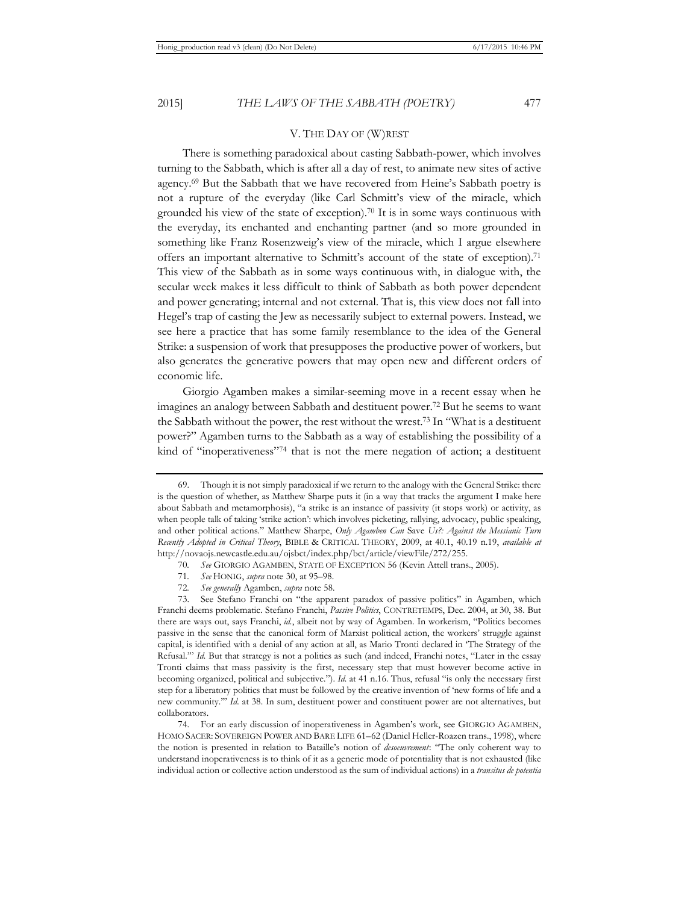#### V. THE DAY OF (W)REST

There is something paradoxical about casting Sabbath-power, which involves turning to the Sabbath, which is after all a day of rest, to animate new sites of active agency.69 But the Sabbath that we have recovered from Heine's Sabbath poetry is not a rupture of the everyday (like Carl Schmitt's view of the miracle, which grounded his view of the state of exception).70 It is in some ways continuous with the everyday, its enchanted and enchanting partner (and so more grounded in something like Franz Rosenzweig's view of the miracle, which I argue elsewhere offers an important alternative to Schmitt's account of the state of exception).<sup>71</sup> This view of the Sabbath as in some ways continuous with, in dialogue with, the secular week makes it less difficult to think of Sabbath as both power dependent and power generating; internal and not external. That is, this view does not fall into Hegel's trap of casting the Jew as necessarily subject to external powers. Instead, we see here a practice that has some family resemblance to the idea of the General Strike: a suspension of work that presupposes the productive power of workers, but also generates the generative powers that may open new and different orders of economic life.

Giorgio Agamben makes a similar-seeming move in a recent essay when he imagines an analogy between Sabbath and destituent power.72 But he seems to want the Sabbath without the power, the rest without the wrest.73 In "What is a destituent power?" Agamben turns to the Sabbath as a way of establishing the possibility of a kind of "inoperativeness"74 that is not the mere negation of action; a destituent

72*. See generally* Agamben, *supra* note 58.

74. For an early discussion of inoperativeness in Agamben's work, see GIORGIO AGAMBEN, HOMO SACER: SOVEREIGN POWER AND BARE LIFE 61–62 (Daniel Heller-Roazen trans., 1998), where the notion is presented in relation to Bataille's notion of *desoeuvrement*: "The only coherent way to understand inoperativeness is to think of it as a generic mode of potentiality that is not exhausted (like individual action or collective action understood as the sum of individual actions) in a *transitus de potentia* 

<sup>69.</sup> Though it is not simply paradoxical if we return to the analogy with the General Strike: there is the question of whether, as Matthew Sharpe puts it (in a way that tracks the argument I make here about Sabbath and metamorphosis), "a strike is an instance of passivity (it stops work) or activity, as when people talk of taking 'strike action': which involves picketing, rallying, advocacy, public speaking, and other political actions." Matthew Sharpe, *Only Agamben Can* Save *Us?: Against the Messianic Turn Recently Adopted in Critical Theory*, BIBLE & CRITICAL THEORY, 2009, at 40.1, 40.19 n.19, *available at* http://novaojs.newcastle.edu.au/ojsbct/index.php/bct/article/viewFile/272/255.

<sup>70</sup>*. See* GIORGIO AGAMBEN, STATE OF EXCEPTION 56 (Kevin Attell trans., 2005).

<sup>71</sup>*. See* HONIG, *supra* note 30, at 95–98.

<sup>73.</sup> See Stefano Franchi on "the apparent paradox of passive politics" in Agamben, which Franchi deems problematic. Stefano Franchi, *Passive Politics*, CONTRETEMPS, Dec. 2004, at 30, 38. But there are ways out, says Franchi, *id.*, albeit not by way of Agamben. In workerism, "Politics becomes passive in the sense that the canonical form of Marxist political action, the workers' struggle against capital, is identified with a denial of any action at all, as Mario Tronti declared in 'The Strategy of the Refusal.'" *Id.* But that strategy is not a politics as such (and indeed, Franchi notes, "Later in the essay Tronti claims that mass passivity is the first, necessary step that must however become active in becoming organized, political and subjective."). *Id.* at 41 n.16. Thus, refusal "is only the necessary first step for a liberatory politics that must be followed by the creative invention of 'new forms of life and a new community.'" *Id.* at 38. In sum, destituent power and constituent power are not alternatives, but collaborators.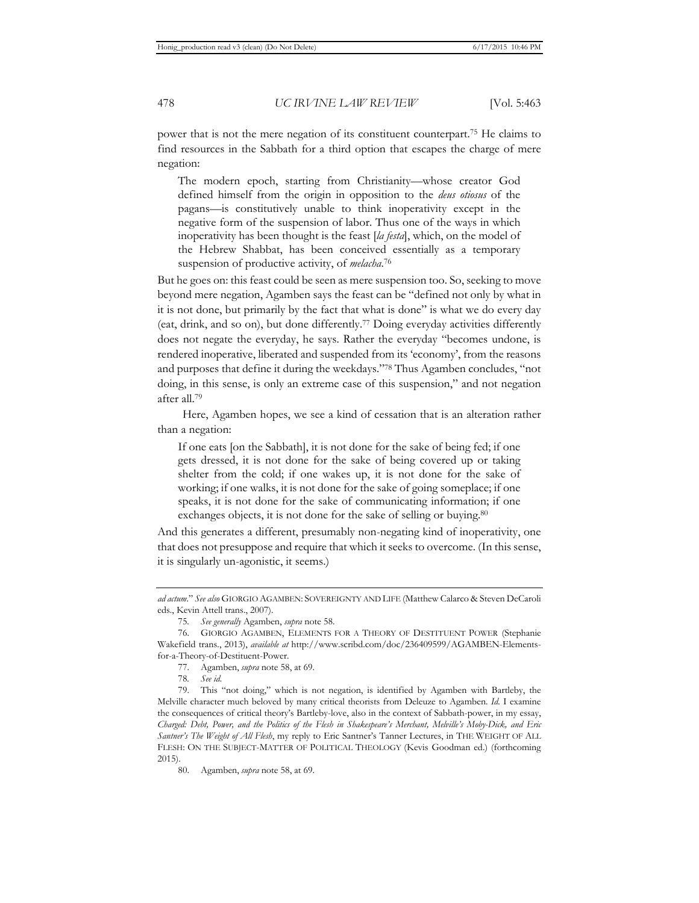power that is not the mere negation of its constituent counterpart.75 He claims to find resources in the Sabbath for a third option that escapes the charge of mere negation:

The modern epoch, starting from Christianity—whose creator God defined himself from the origin in opposition to the *deus otiosus* of the pagans—is constitutively unable to think inoperativity except in the negative form of the suspension of labor. Thus one of the ways in which inoperativity has been thought is the feast [*la festa*], which, on the model of the Hebrew Shabbat, has been conceived essentially as a temporary suspension of productive activity, of *melacha*. 76

But he goes on: this feast could be seen as mere suspension too. So, seeking to move beyond mere negation, Agamben says the feast can be "defined not only by what in it is not done, but primarily by the fact that what is done" is what we do every day (eat, drink, and so on), but done differently.77 Doing everyday activities differently does not negate the everyday, he says. Rather the everyday "becomes undone, is rendered inoperative, liberated and suspended from its 'economy', from the reasons and purposes that define it during the weekdays."78 Thus Agamben concludes, "not doing, in this sense, is only an extreme case of this suspension," and not negation after all.79

Here, Agamben hopes, we see a kind of cessation that is an alteration rather than a negation:

If one eats [on the Sabbath], it is not done for the sake of being fed; if one gets dressed, it is not done for the sake of being covered up or taking shelter from the cold; if one wakes up, it is not done for the sake of working; if one walks, it is not done for the sake of going someplace; if one speaks, it is not done for the sake of communicating information; if one exchanges objects, it is not done for the sake of selling or buying.<sup>80</sup>

And this generates a different, presumably non-negating kind of inoperativity, one that does not presuppose and require that which it seeks to overcome. (In this sense, it is singularly un-agonistic, it seems.)

*ad actum*." *See also* GIORGIO AGAMBEN: SOVEREIGNTY AND LIFE (Matthew Calarco & Steven DeCaroli eds., Kevin Attell trans., 2007).

<sup>75</sup>*. See generally* Agamben, *supra* note 58.

<sup>76.</sup> GIORGIO AGAMBEN, ELEMENTS FOR A THEORY OF DESTITUENT POWER (Stephanie Wakefield trans., 2013), *available at* http://www.scribd.com/doc/236409599/AGAMBEN-Elementsfor-a-Theory-of-Destituent-Power.

<sup>77.</sup> Agamben, *supra* note 58, at 69.

<sup>78</sup>*. See id.*

<sup>79.</sup> This "not doing," which is not negation, is identified by Agamben with Bartleby, the Melville character much beloved by many critical theorists from Deleuze to Agamben. *Id.* I examine the consequences of critical theory's Bartleby-love, also in the context of Sabbath-power, in my essay, *Charged: Debt, Power, and the Politics of the Flesh in Shakespeare's Merchant, Melville's Moby-Dick, and Eric Santner's The Weight of All Flesh*, my reply to Eric Santner's Tanner Lectures, in THE WEIGHT OF ALL FLESH: ON THE SUBJECT-MATTER OF POLITICAL THEOLOGY (Kevis Goodman ed.) (forthcoming 2015).

<sup>80.</sup> Agamben, *supra* note 58, at 69.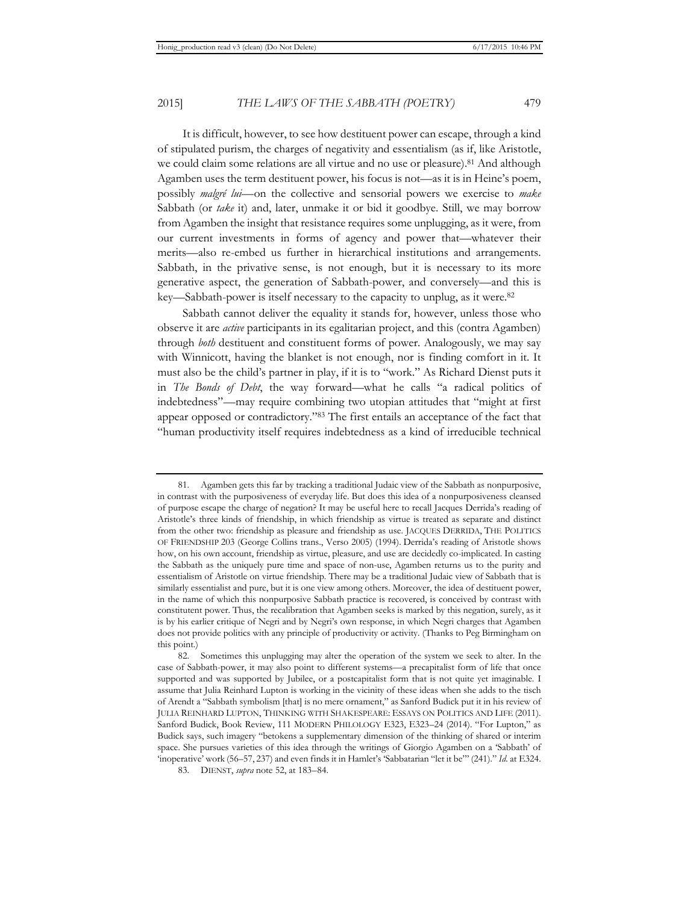It is difficult, however, to see how destituent power can escape, through a kind of stipulated purism, the charges of negativity and essentialism (as if, like Aristotle, we could claim some relations are all virtue and no use or pleasure).81 And although Agamben uses the term destituent power, his focus is not—as it is in Heine's poem, possibly *malgré lui*—on the collective and sensorial powers we exercise to *make* Sabbath (or *take* it) and, later, unmake it or bid it goodbye. Still, we may borrow from Agamben the insight that resistance requires some unplugging, as it were, from our current investments in forms of agency and power that—whatever their merits—also re-embed us further in hierarchical institutions and arrangements. Sabbath, in the privative sense, is not enough, but it is necessary to its more generative aspect, the generation of Sabbath-power, and conversely—and this is key—Sabbath-power is itself necessary to the capacity to unplug, as it were.82

Sabbath cannot deliver the equality it stands for, however, unless those who observe it are *active* participants in its egalitarian project, and this (contra Agamben) through *both* destituent and constituent forms of power. Analogously, we may say with Winnicott, having the blanket is not enough, nor is finding comfort in it. It must also be the child's partner in play, if it is to "work." As Richard Dienst puts it in *The Bonds of Debt*, the way forward—what he calls "a radical politics of indebtedness"—may require combining two utopian attitudes that "might at first appear opposed or contradictory."83 The first entails an acceptance of the fact that "human productivity itself requires indebtedness as a kind of irreducible technical

<sup>81.</sup> Agamben gets this far by tracking a traditional Judaic view of the Sabbath as nonpurposive, in contrast with the purposiveness of everyday life. But does this idea of a nonpurposiveness cleansed of purpose escape the charge of negation? It may be useful here to recall Jacques Derrida's reading of Aristotle's three kinds of friendship, in which friendship as virtue is treated as separate and distinct from the other two: friendship as pleasure and friendship as use. JACQUES DERRIDA, THE POLITICS OF FRIENDSHIP 203 (George Collins trans., Verso 2005) (1994). Derrida's reading of Aristotle shows how, on his own account, friendship as virtue, pleasure, and use are decidedly co-implicated. In casting the Sabbath as the uniquely pure time and space of non-use, Agamben returns us to the purity and essentialism of Aristotle on virtue friendship. There may be a traditional Judaic view of Sabbath that is similarly essentialist and pure, but it is one view among others. Moreover, the idea of destituent power, in the name of which this nonpurposive Sabbath practice is recovered, is conceived by contrast with constitutent power. Thus, the recalibration that Agamben seeks is marked by this negation, surely, as it is by his earlier critique of Negri and by Negri's own response, in which Negri charges that Agamben does not provide politics with any principle of productivity or activity. (Thanks to Peg Birmingham on this point.)

<sup>82.</sup> Sometimes this unplugging may alter the operation of the system we seek to alter. In the case of Sabbath-power, it may also point to different systems—a precapitalist form of life that once supported and was supported by Jubilee, or a postcapitalist form that is not quite yet imaginable. I assume that Julia Reinhard Lupton is working in the vicinity of these ideas when she adds to the tisch of Arendt a "Sabbath symbolism [that] is no mere ornament," as Sanford Budick put it in his review of JULIA REINHARD LUPTON, THINKING WITH SHAKESPEARE: ESSAYS ON POLITICS AND LIFE (2011). Sanford Budick, Book Review, 111 MODERN PHILOLOGY E323, E323–24 (2014). "For Lupton," as Budick says, such imagery "betokens a supplementary dimension of the thinking of shared or interim space. She pursues varieties of this idea through the writings of Giorgio Agamben on a 'Sabbath' of 'inoperative' work (56–57, 237) and even finds it in Hamlet's 'Sabbatarian "let it be"' (241)." *Id.* at E324.

<sup>83.</sup> DIENST, *supra* note 52, at 183–84.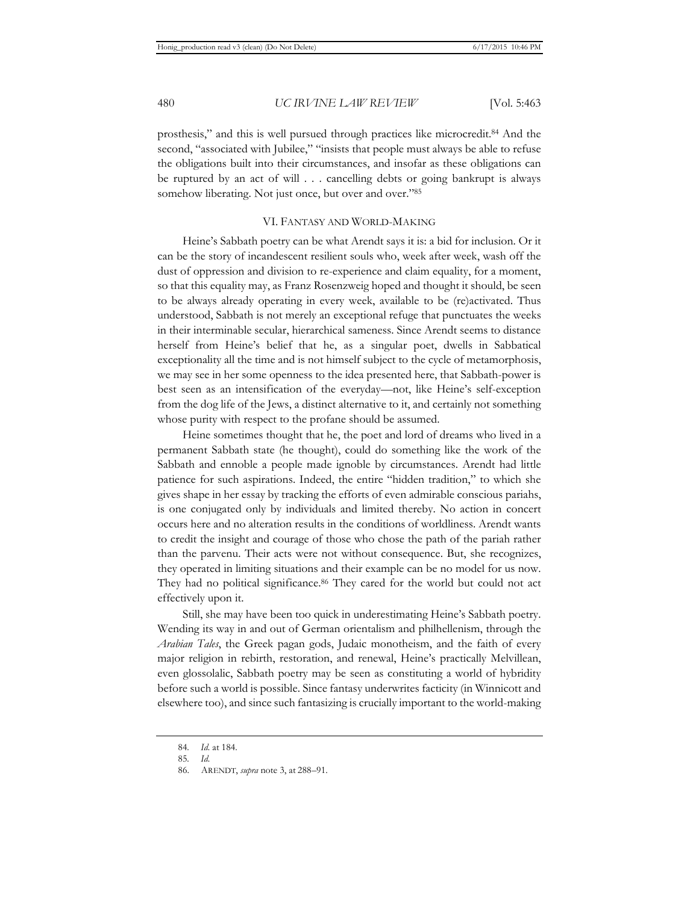prosthesis," and this is well pursued through practices like microcredit.84 And the second, "associated with Jubilee," "insists that people must always be able to refuse the obligations built into their circumstances, and insofar as these obligations can be ruptured by an act of will . . . cancelling debts or going bankrupt is always somehow liberating. Not just once, but over and over."85

#### VI. FANTASY AND WORLD-MAKING

Heine's Sabbath poetry can be what Arendt says it is: a bid for inclusion. Or it can be the story of incandescent resilient souls who, week after week, wash off the dust of oppression and division to re-experience and claim equality, for a moment, so that this equality may, as Franz Rosenzweig hoped and thought it should, be seen to be always already operating in every week, available to be (re)activated. Thus understood, Sabbath is not merely an exceptional refuge that punctuates the weeks in their interminable secular, hierarchical sameness. Since Arendt seems to distance herself from Heine's belief that he, as a singular poet, dwells in Sabbatical exceptionality all the time and is not himself subject to the cycle of metamorphosis, we may see in her some openness to the idea presented here, that Sabbath-power is best seen as an intensification of the everyday—not, like Heine's self-exception from the dog life of the Jews, a distinct alternative to it, and certainly not something whose purity with respect to the profane should be assumed.

Heine sometimes thought that he, the poet and lord of dreams who lived in a permanent Sabbath state (he thought), could do something like the work of the Sabbath and ennoble a people made ignoble by circumstances. Arendt had little patience for such aspirations. Indeed, the entire "hidden tradition," to which she gives shape in her essay by tracking the efforts of even admirable conscious pariahs, is one conjugated only by individuals and limited thereby. No action in concert occurs here and no alteration results in the conditions of worldliness. Arendt wants to credit the insight and courage of those who chose the path of the pariah rather than the parvenu. Their acts were not without consequence. But, she recognizes, they operated in limiting situations and their example can be no model for us now. They had no political significance.<sup>86</sup> They cared for the world but could not act effectively upon it.

Still, she may have been too quick in underestimating Heine's Sabbath poetry. Wending its way in and out of German orientalism and philhellenism, through the *Arabian Tales*, the Greek pagan gods, Judaic monotheism, and the faith of every major religion in rebirth, restoration, and renewal, Heine's practically Melvillean, even glossolalic, Sabbath poetry may be seen as constituting a world of hybridity before such a world is possible. Since fantasy underwrites facticity (in Winnicott and elsewhere too), and since such fantasizing is crucially important to the world-making

<sup>84</sup>*. Id.* at 184.

<sup>85</sup>*. Id.*

<sup>86.</sup> ARENDT, *supra* note 3, at 288–91.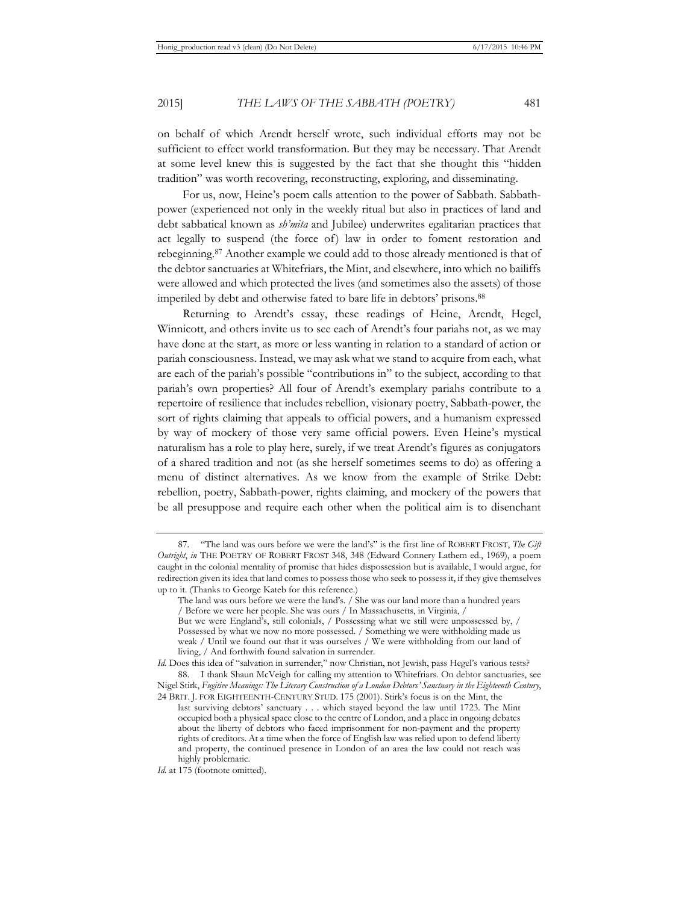on behalf of which Arendt herself wrote, such individual efforts may not be sufficient to effect world transformation. But they may be necessary. That Arendt at some level knew this is suggested by the fact that she thought this "hidden tradition" was worth recovering, reconstructing, exploring, and disseminating.

For us, now, Heine's poem calls attention to the power of Sabbath. Sabbathpower (experienced not only in the weekly ritual but also in practices of land and debt sabbatical known as *sh'mita* and Jubilee) underwrites egalitarian practices that act legally to suspend (the force of) law in order to foment restoration and rebeginning.87 Another example we could add to those already mentioned is that of the debtor sanctuaries at Whitefriars, the Mint, and elsewhere, into which no bailiffs were allowed and which protected the lives (and sometimes also the assets) of those imperiled by debt and otherwise fated to bare life in debtors' prisons.88

Returning to Arendt's essay, these readings of Heine, Arendt, Hegel, Winnicott, and others invite us to see each of Arendt's four pariahs not, as we may have done at the start, as more or less wanting in relation to a standard of action or pariah consciousness. Instead, we may ask what we stand to acquire from each, what are each of the pariah's possible "contributions in" to the subject, according to that pariah's own properties? All four of Arendt's exemplary pariahs contribute to a repertoire of resilience that includes rebellion, visionary poetry, Sabbath-power, the sort of rights claiming that appeals to official powers, and a humanism expressed by way of mockery of those very same official powers. Even Heine's mystical naturalism has a role to play here, surely, if we treat Arendt's figures as conjugators of a shared tradition and not (as she herself sometimes seems to do) as offering a menu of distinct alternatives. As we know from the example of Strike Debt: rebellion, poetry, Sabbath-power, rights claiming, and mockery of the powers that be all presuppose and require each other when the political aim is to disenchant

living, / And forthwith found salvation in surrender.

<sup>87. &</sup>quot;The land was ours before we were the land's" is the first line of ROBERT FROST, *The Gift Outright*, *in* THE POETRY OF ROBERT FROST 348, 348 (Edward Connery Lathem ed., 1969), a poem caught in the colonial mentality of promise that hides dispossession but is available, I would argue, for redirection given its idea that land comes to possess those who seek to possess it, if they give themselves up to it. (Thanks to George Kateb for this reference.)

The land was ours before we were the land's. / She was our land more than a hundred years / Before we were her people. She was ours / In Massachusetts, in Virginia, / But we were England's, still colonials, / Possessing what we still were unpossessed by, / Possessed by what we now no more possessed. / Something we were withholding made us weak / Until we found out that it was ourselves / We were withholding from our land of

*Id.* Does this idea of "salvation in surrender," now Christian, not Jewish, pass Hegel's various tests? 88. I thank Shaun McVeigh for calling my attention to Whitefriars. On debtor sanctuaries, see Nigel Stirk, *Fugitive Meanings: The Literary Construction of a London Debtors' Sanctuary in the Eighteenth Century*, 24 BRIT. J. FOR EIGHTEENTH-CENTURY STUD. 175 (2001). Stirk's focus is on the Mint, the

last surviving debtors' sanctuary . . . which stayed beyond the law until 1723. The Mint occupied both a physical space close to the centre of London, and a place in ongoing debates about the liberty of debtors who faced imprisonment for non-payment and the property rights of creditors. At a time when the force of English law was relied upon to defend liberty and property, the continued presence in London of an area the law could not reach was highly problematic.

*Id.* at 175 (footnote omitted).